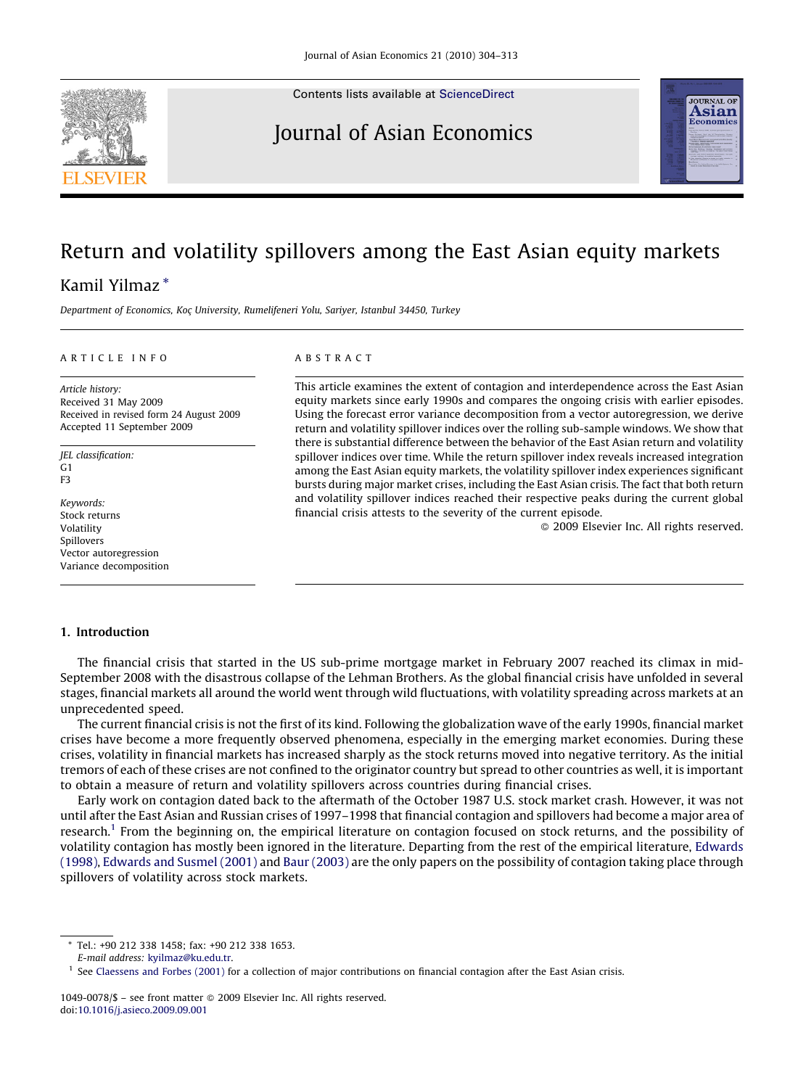Contents lists available at [ScienceDirect](http://www.sciencedirect.com/science/journal/10490078)

### Journal of Asian Economics



## Return and volatility spillovers among the East Asian equity markets

### Kamil Yilmaz \*

Department of Economics, Koc¸ University, Rumelifeneri Yolu, Sariyer, Istanbul 34450, Turkey

#### ARTICLE INFO

Article history: Received 31 May 2009 Received in revised form 24 August 2009 Accepted 11 September 2009

JEL classification:  $G<sub>1</sub>$ F3

Keywords: Stock returns Volatility Spillovers Vector autoregression Variance decomposition

#### ABSTRACT

This article examines the extent of contagion and interdependence across the East Asian equity markets since early 1990s and compares the ongoing crisis with earlier episodes. Using the forecast error variance decomposition from a vector autoregression, we derive return and volatility spillover indices over the rolling sub-sample windows. We show that there is substantial difference between the behavior of the East Asian return and volatility spillover indices over time. While the return spillover index reveals increased integration among the East Asian equity markets, the volatility spillover index experiences significant bursts during major market crises, including the East Asian crisis. The fact that both return and volatility spillover indices reached their respective peaks during the current global financial crisis attests to the severity of the current episode.

 $\odot$  2009 Elsevier Inc. All rights reserved.

#### 1. Introduction

The financial crisis that started in the US sub-prime mortgage market in February 2007 reached its climax in mid-September 2008 with the disastrous collapse of the Lehman Brothers. As the global financial crisis have unfolded in several stages, financial markets all around the world went through wild fluctuations, with volatility spreading across markets at an unprecedented speed.

The current financial crisis is not the first of its kind. Following the globalization wave of the early 1990s, financial market crises have become a more frequently observed phenomena, especially in the emerging market economies. During these crises, volatility in financial markets has increased sharply as the stock returns moved into negative territory. As the initial tremors of each of these crises are not confined to the originator country but spread to other countries as well, it is important to obtain a measure of return and volatility spillovers across countries during financial crises.

Early work on contagion dated back to the aftermath of the October 1987 U.S. stock market crash. However, it was not until after the East Asian and Russian crises of 1997–1998 that financial contagion and spillovers had become a major area of research.<sup>1</sup> From the beginning on, the empirical literature on contagion focused on stock returns, and the possibility of volatility contagion has mostly been ignored in the literature. Departing from the rest of the empirical literature, [Edwards](#page--1-0) [\(1998\),](#page--1-0) [Edwards and Susmel \(2001\)](#page--1-0) and [Baur \(2003\)](#page--1-0) are the only papers on the possibility of contagion taking place through spillovers of volatility across stock markets.

<sup>\*</sup> Tel.: +90 212 338 1458; fax: +90 212 338 1653.

E-mail address: [kyilmaz@ku.edu.tr.](mailto:kyilmaz@ku.edu.tr)

<sup>&</sup>lt;sup>1</sup> See [Claessens and Forbes \(2001\)](#page--1-0) for a collection of major contributions on financial contagion after the East Asian crisis.

<sup>1049-0078/\$ –</sup> see front matter © 2009 Elsevier Inc. All rights reserved. doi[:10.1016/j.asieco.2009.09.001](http://dx.doi.org/10.1016/j.asieco.2009.09.001)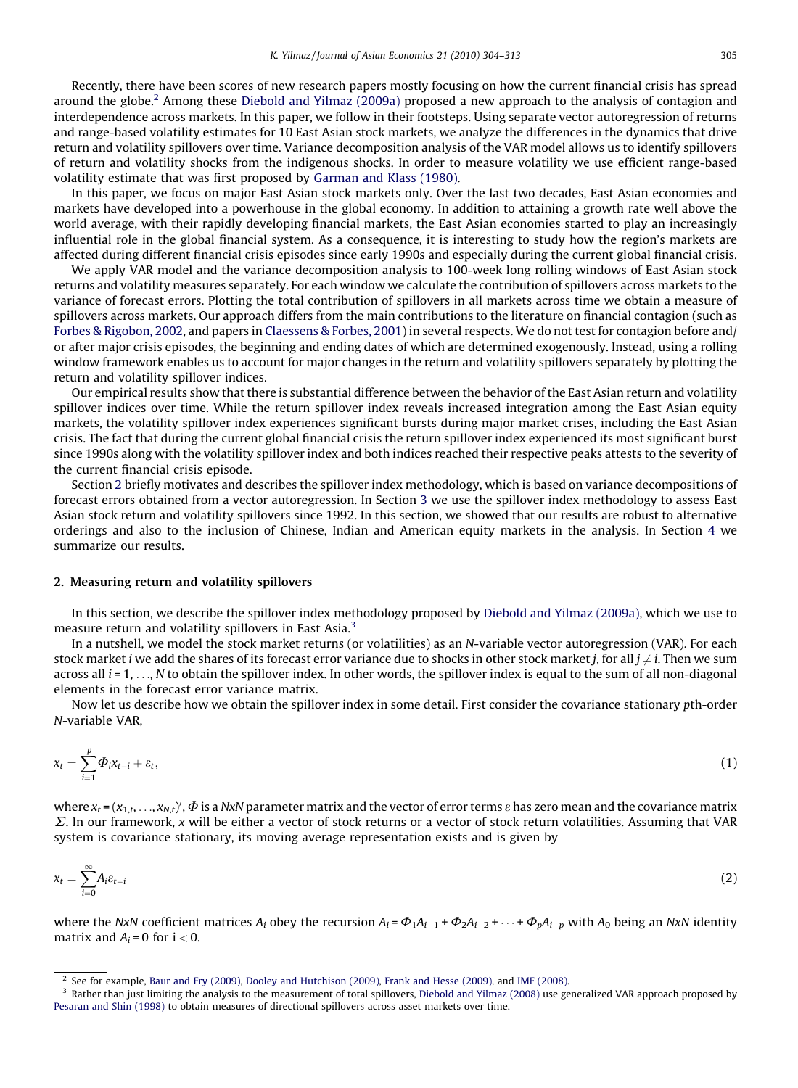Recently, there have been scores of new research papers mostly focusing on how the current financial crisis has spread around the globe.2 Among these [Diebold and Yilmaz \(2009a\)](#page--1-0) proposed a new approach to the analysis of contagion and interdependence across markets. In this paper, we follow in their footsteps. Using separate vector autoregression of returns and range-based volatility estimates for 10 East Asian stock markets, we analyze the differences in the dynamics that drive return and volatility spillovers over time. Variance decomposition analysis of the VAR model allows us to identify spillovers of return and volatility shocks from the indigenous shocks. In order to measure volatility we use efficient range-based volatility estimate that was first proposed by [Garman and Klass \(1980\)](#page--1-0).

In this paper, we focus on major East Asian stock markets only. Over the last two decades, East Asian economies and markets have developed into a powerhouse in the global economy. In addition to attaining a growth rate well above the world average, with their rapidly developing financial markets, the East Asian economies started to play an increasingly influential role in the global financial system. As a consequence, it is interesting to study how the region's markets are affected during different financial crisis episodes since early 1990s and especially during the current global financial crisis.

We apply VAR model and the variance decomposition analysis to 100-week long rolling windows of East Asian stock returns and volatility measures separately. For each window we calculate the contribution of spillovers across markets to the variance of forecast errors. Plotting the total contribution of spillovers in all markets across time we obtain a measure of spillovers across markets. Our approach differs from the main contributions to the literature on financial contagion (such as [Forbes & Rigobon, 2002](#page--1-0), and papers in [Claessens & Forbes, 2001](#page--1-0)) in several respects. We do not test for contagion before and/ or after major crisis episodes, the beginning and ending dates of which are determined exogenously. Instead, using a rolling window framework enables us to account for major changes in the return and volatility spillovers separately by plotting the return and volatility spillover indices.

Our empirical results show that there is substantial difference between the behavior of the East Asian return and volatility spillover indices over time. While the return spillover index reveals increased integration among the East Asian equity markets, the volatility spillover index experiences significant bursts during major market crises, including the East Asian crisis. The fact that during the current global financial crisis the return spillover index experienced its most significant burst since 1990s along with the volatility spillover index and both indices reached their respective peaks attests to the severity of the current financial crisis episode.

Section 2 briefly motivates and describes the spillover index methodology, which is based on variance decompositions of forecast errors obtained from a vector autoregression. In Section [3](#page--1-0) we use the spillover index methodology to assess East Asian stock return and volatility spillovers since 1992. In this section, we showed that our results are robust to alternative orderings and also to the inclusion of Chinese, Indian and American equity markets in the analysis. In Section [4](#page--1-0) we summarize our results.

#### 2. Measuring return and volatility spillovers

In this section, we describe the spillover index methodology proposed by [Diebold and Yilmaz \(2009a\)](#page--1-0), which we use to measure return and volatility spillovers in East Asia.<sup>3</sup>

In a nutshell, we model the stock market returns (or volatilities) as an N-variable vector autoregression (VAR). For each stock market i we add the shares of its forecast error variance due to shocks in other stock market j, for all  $j \neq i$ . Then we sum across all  $i = 1, \ldots, N$  to obtain the spillover index. In other words, the spillover index is equal to the sum of all non-diagonal elements in the forecast error variance matrix.

Now let us describe how we obtain the spillover index in some detail. First consider the covariance stationary pth-order N-variable VAR,

$$
x_t = \sum_{i=1}^p \Phi_i x_{t-i} + \varepsilon_t,
$$
\n(1)

where  $x_t$  = ( $x_{1,t},...,x_{N,t}$ )',  $\Phi$  is a NxN parameter matrix and the vector of error terms  $\varepsilon$  has zero mean and the covariance matrix  $\Sigma$ . In our framework, x will be either a vector of stock returns or a vector of stock return volatilities. Assuming that VAR system is covariance stationary, its moving average representation exists and is given by

$$
x_t = \sum_{i=0}^{\infty} A_i \varepsilon_{t-i} \tag{2}
$$

where the NxN coefficient matrices  $A_i$  obey the recursion  $A_i$  =  $\Phi_1A_{i-1}$  +  $\Phi_2A_{i-2}$  +  $\cdots$  +  $\Phi_pA_{i-p}$  with  $A_0$  being an NxN identity matrix and  $A_i = 0$  for  $i < 0$ .

<sup>&</sup>lt;sup>2</sup> See for example, [Baur and Fry \(2009\)](#page--1-0), [Dooley and Hutchison \(2009\),](#page--1-0) [Frank and Hesse \(2009\),](#page--1-0) and [IMF \(2008\)](#page--1-0).

<sup>&</sup>lt;sup>3</sup> Rather than just limiting the analysis to the measurement of total spillovers, [Diebold and Yilmaz \(2008\)](#page--1-0) use generalized VAR approach proposed by [Pesaran and Shin \(1998\)](#page--1-0) to obtain measures of directional spillovers across asset markets over time.